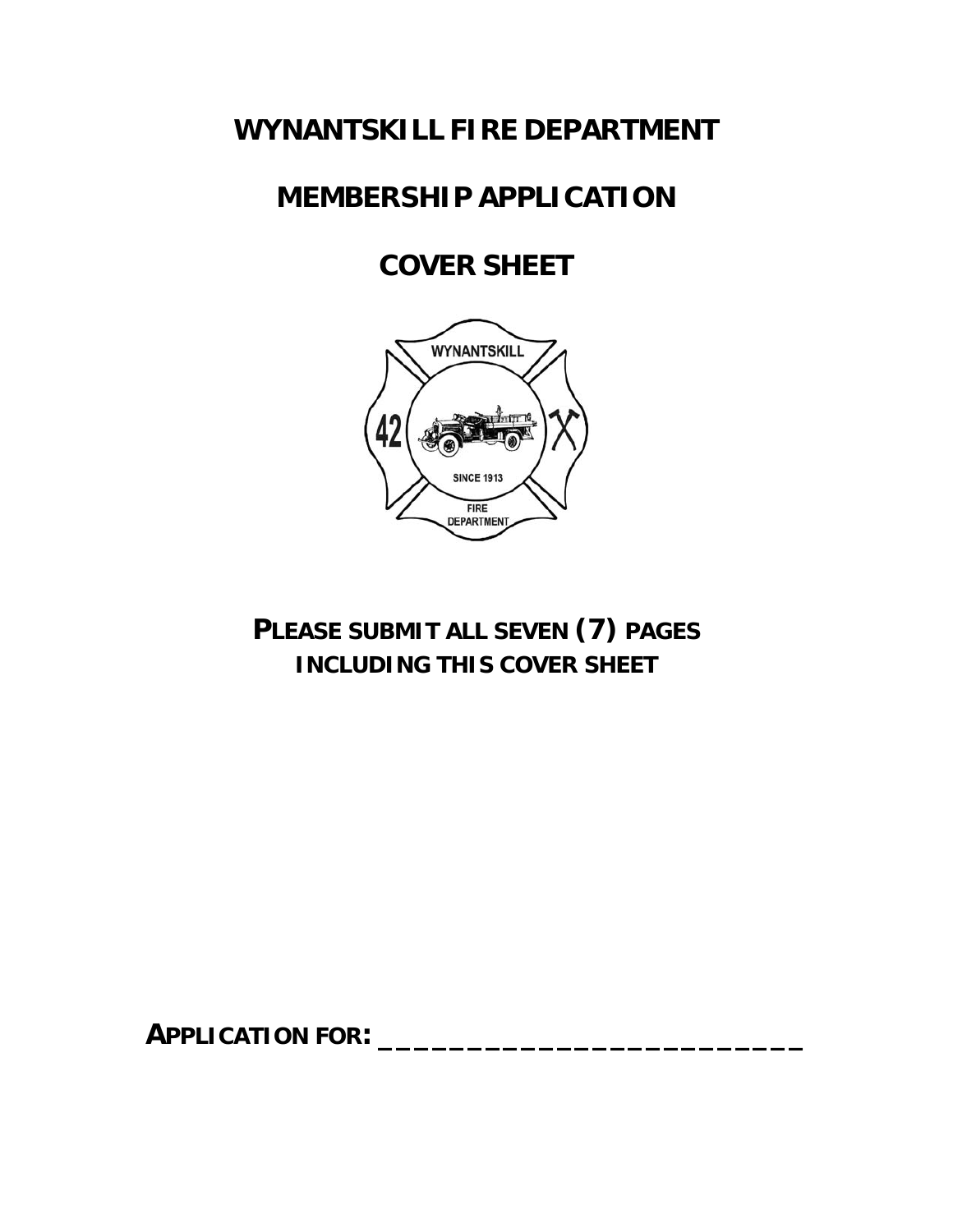#### **WYNANTSKILL FIRE DEPARTMENT**

## **MEMBERSHIP APPLICATION**

# **COVER SHEET**



**PLEASE SUBMIT ALL SEVEN (7) PAGES INCLUDING THIS COVER SHEET**

**APPLICATION FOR: \_\_\_\_\_\_\_\_\_\_\_\_\_\_\_\_\_\_\_\_\_\_\_\_**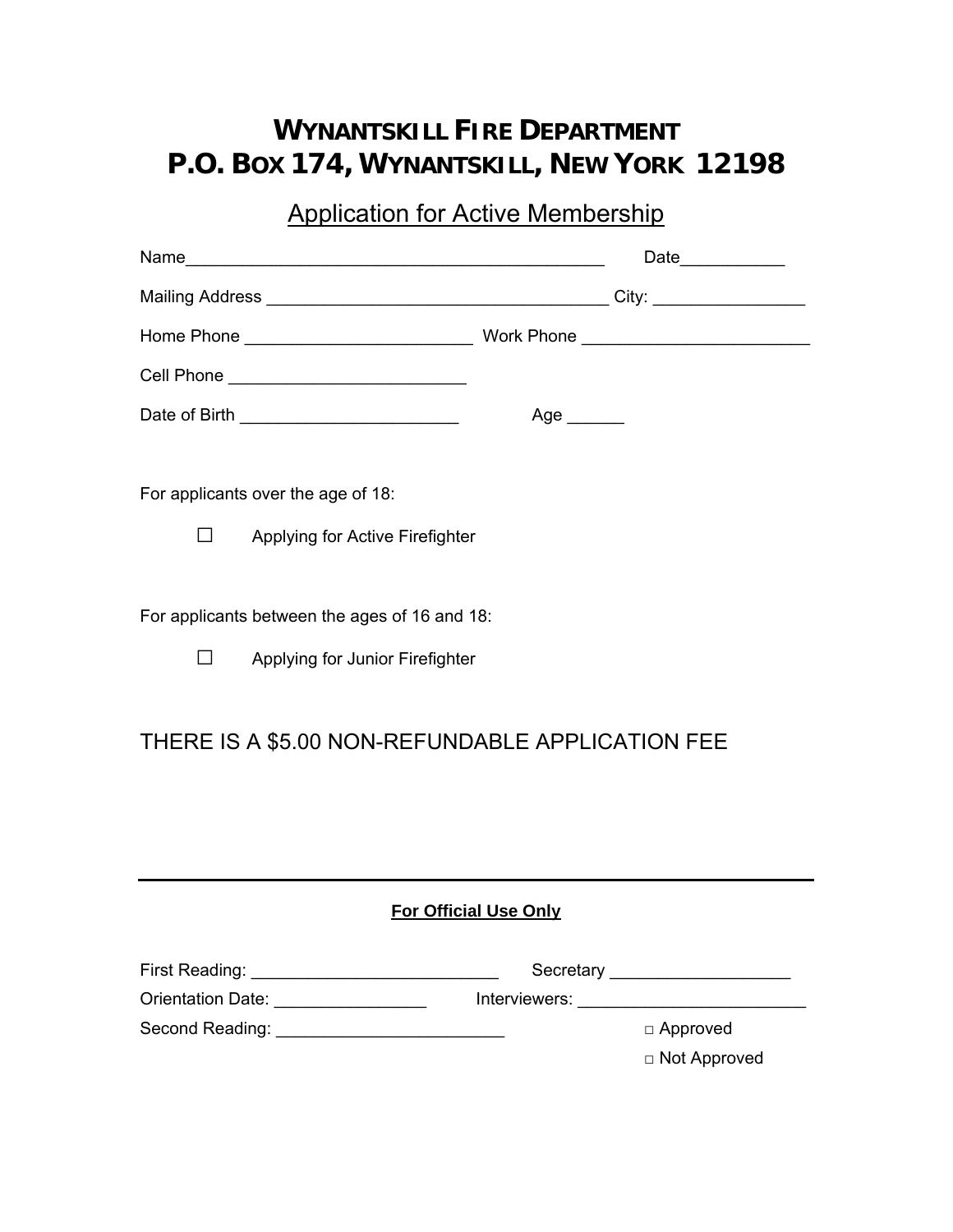## **WYNANTSKILL FIRE DEPARTMENT P.O. BOX 174, WYNANTSKILL, NEW YORK 12198**

### Application for Active Membership

|                                                                                            | Date____________                       |  |  |  |
|--------------------------------------------------------------------------------------------|----------------------------------------|--|--|--|
|                                                                                            |                                        |  |  |  |
|                                                                                            |                                        |  |  |  |
|                                                                                            |                                        |  |  |  |
|                                                                                            | Age $\_\_$                             |  |  |  |
| For applicants over the age of 18:                                                         |                                        |  |  |  |
| Applying for Active Firefighter<br>$\mathsf{L}$                                            |                                        |  |  |  |
| For applicants between the ages of 16 and 18:<br>$\Box$<br>Applying for Junior Firefighter |                                        |  |  |  |
| THERE IS A \$5.00 NON-REFUNDABLE APPLICATION FEE                                           |                                        |  |  |  |
| <b>For Official Use Only</b>                                                               |                                        |  |  |  |
| Orientation Date: _________________                                                        | Secretary ______________________       |  |  |  |
| Second Reading: ______________________________                                             | $\Box$ Approved<br>$\Box$ Not Approved |  |  |  |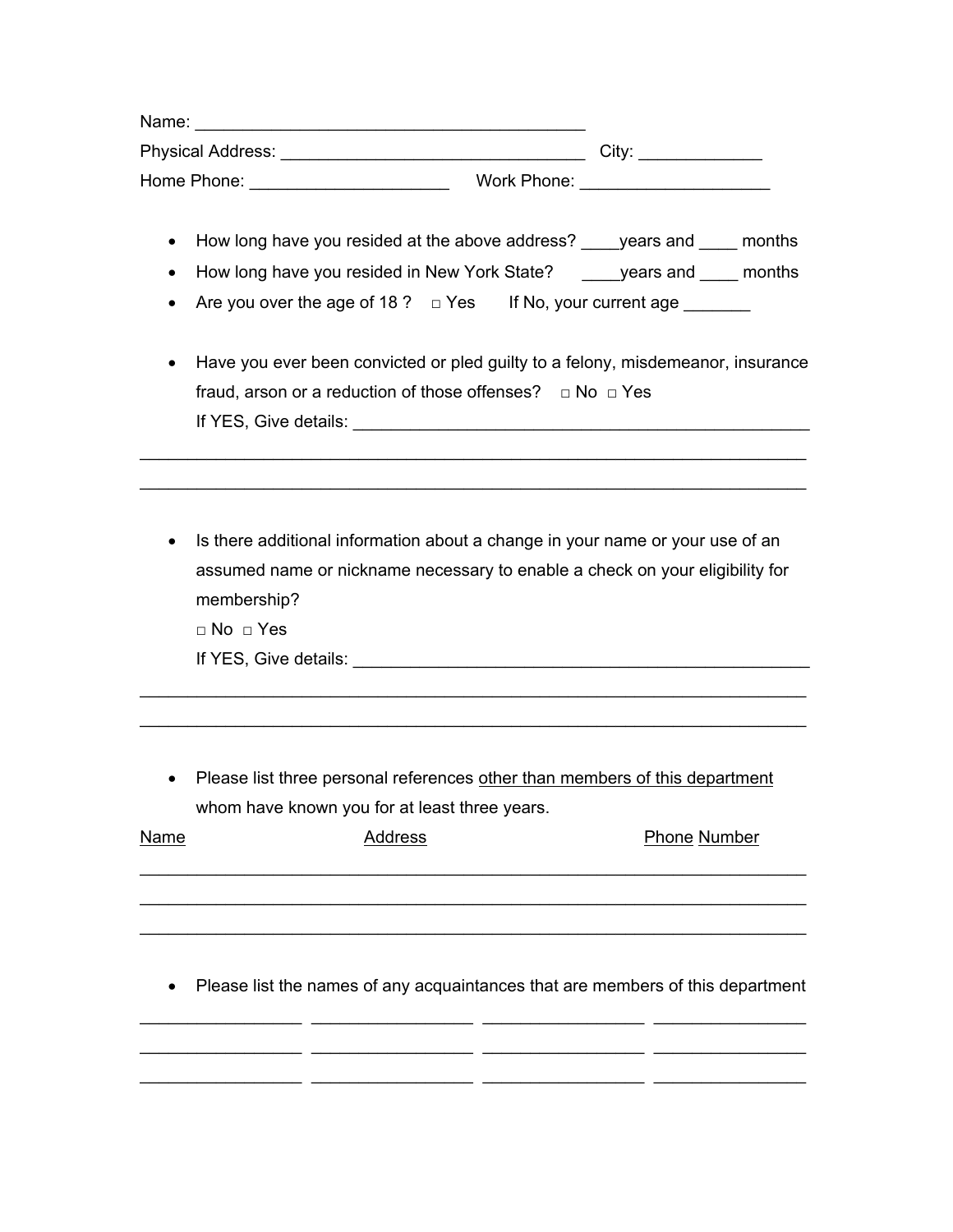| Name:                    |             |                   |
|--------------------------|-------------|-------------------|
| <b>Physical Address:</b> |             | City <sup>-</sup> |
| Home Phone:              | Work Phone: |                   |

- How long have you resided at the above address? \_\_\_\_years and \_\_\_\_ months
- How long have you resided in New York State? \_\_\_\_years and \_\_\_\_ months
- Are you over the age of 18 ?  $\Box$  Yes If No, your current age
- Have you ever been convicted or pled guilty to a felony, misdemeanor, insurance fraud, arson or a reduction of those offenses?  $\Box$  No  $\Box$  Yes If YES, Give details: \_\_\_\_\_\_\_\_\_\_\_\_\_\_\_\_\_\_\_\_\_\_\_\_\_\_\_\_\_\_\_\_\_\_\_\_\_\_\_\_\_\_\_\_\_\_\_\_

\_\_\_\_\_\_\_\_\_\_\_\_\_\_\_\_\_\_\_\_\_\_\_\_\_\_\_\_\_\_\_\_\_\_\_\_\_\_\_\_\_\_\_\_\_\_\_\_\_\_\_\_\_\_\_\_\_\_\_\_\_\_\_\_\_\_\_\_\_\_ \_\_\_\_\_\_\_\_\_\_\_\_\_\_\_\_\_\_\_\_\_\_\_\_\_\_\_\_\_\_\_\_\_\_\_\_\_\_\_\_\_\_\_\_\_\_\_\_\_\_\_\_\_\_\_\_\_\_\_\_\_\_\_\_\_\_\_\_\_\_

• Is there additional information about a change in your name or your use of an assumed name or nickname necessary to enable a check on your eligibility for membership?

□ No □ Yes

If YES, Give details: **West and Security Allengers** of the second second second and the second second second second second second second second second second second second second second second second second second second s

• Please list three personal references other than members of this department whom have known you for at least three years.

\_\_\_\_\_\_\_\_\_\_\_\_\_\_\_\_\_\_\_\_\_\_\_\_\_\_\_\_\_\_\_\_\_\_\_\_\_\_\_\_\_\_\_\_\_\_\_\_\_\_\_\_\_\_\_\_\_\_\_\_\_\_\_\_\_\_\_\_\_\_ \_\_\_\_\_\_\_\_\_\_\_\_\_\_\_\_\_\_\_\_\_\_\_\_\_\_\_\_\_\_\_\_\_\_\_\_\_\_\_\_\_\_\_\_\_\_\_\_\_\_\_\_\_\_\_\_\_\_\_\_\_\_\_\_\_\_\_\_\_\_

| <b>Name</b> | Address | Phone Number |
|-------------|---------|--------------|
|             |         |              |
|             |         |              |
|             |         |              |

• Please list the names of any acquaintances that are members of this department

\_\_\_\_\_\_\_\_\_\_\_\_\_\_\_\_\_ \_\_\_\_\_\_\_\_\_\_\_\_\_\_\_\_\_ \_\_\_\_\_\_\_\_\_\_\_\_\_\_\_\_\_ \_\_\_\_\_\_\_\_\_\_\_\_\_\_\_\_ \_\_\_\_\_\_\_\_\_\_\_\_\_\_\_\_\_ \_\_\_\_\_\_\_\_\_\_\_\_\_\_\_\_\_ \_\_\_\_\_\_\_\_\_\_\_\_\_\_\_\_\_ \_\_\_\_\_\_\_\_\_\_\_\_\_\_\_\_

\_\_\_\_\_\_\_\_\_\_\_\_\_\_\_\_\_ \_\_\_\_\_\_\_\_\_\_\_\_\_\_\_\_\_ \_\_\_\_\_\_\_\_\_\_\_\_\_\_\_\_\_ \_\_\_\_\_\_\_\_\_\_\_\_\_\_\_\_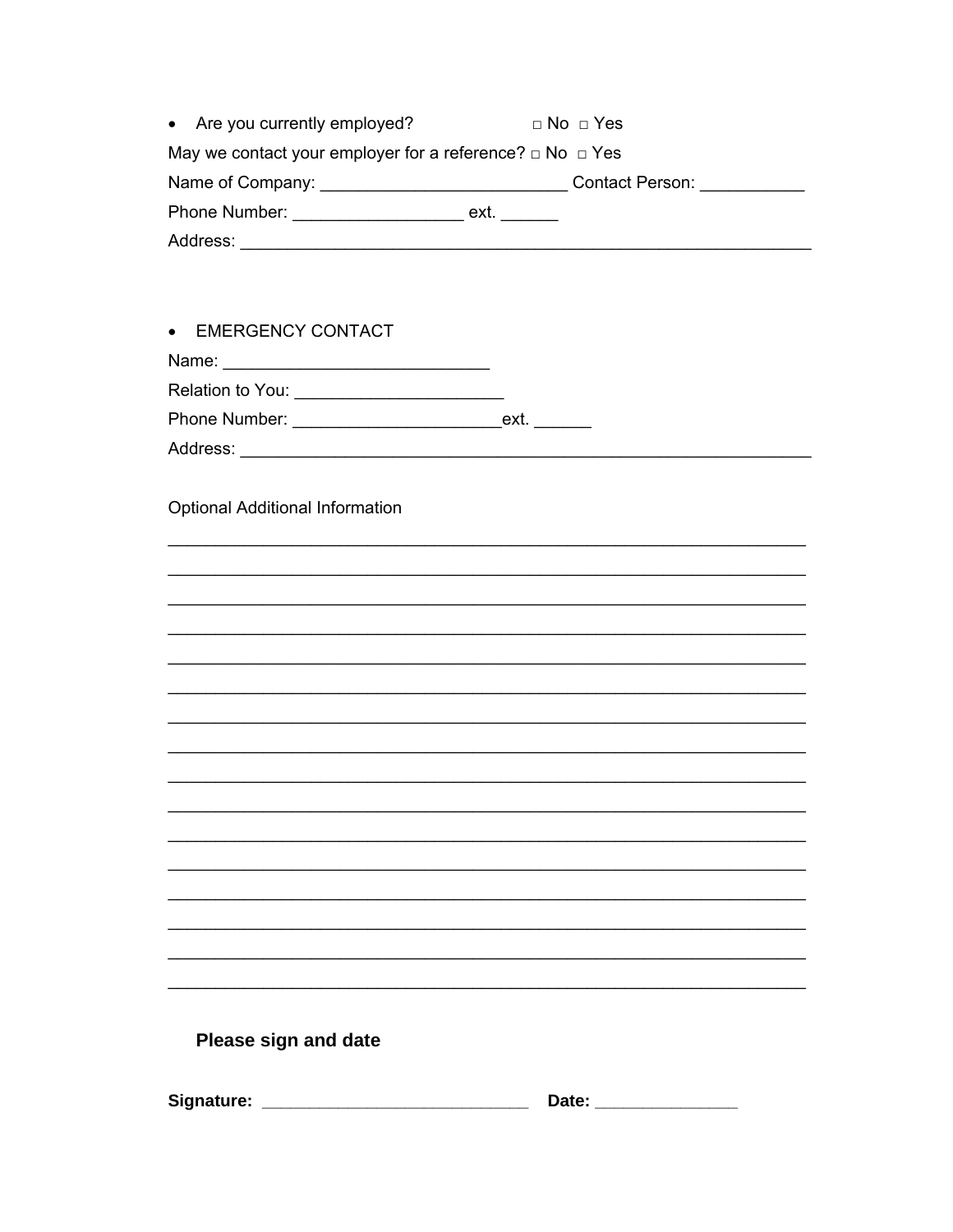| • Are you currently employed?                                      | $\Box$ No $\Box$ Yes |  |  |  |
|--------------------------------------------------------------------|----------------------|--|--|--|
| May we contact your employer for a reference? $\Box$ No $\Box$ Yes |                      |  |  |  |
|                                                                    |                      |  |  |  |
| Phone Number: ________________________ ext. _______                |                      |  |  |  |
|                                                                    |                      |  |  |  |
|                                                                    |                      |  |  |  |
| • EMERGENCY CONTACT                                                |                      |  |  |  |
|                                                                    |                      |  |  |  |
|                                                                    |                      |  |  |  |
|                                                                    |                      |  |  |  |
|                                                                    |                      |  |  |  |
|                                                                    |                      |  |  |  |
| <b>Optional Additional Information</b>                             |                      |  |  |  |
|                                                                    |                      |  |  |  |
|                                                                    |                      |  |  |  |
|                                                                    |                      |  |  |  |
|                                                                    |                      |  |  |  |
|                                                                    |                      |  |  |  |
|                                                                    |                      |  |  |  |
|                                                                    |                      |  |  |  |
|                                                                    |                      |  |  |  |
|                                                                    |                      |  |  |  |
|                                                                    |                      |  |  |  |
|                                                                    |                      |  |  |  |
|                                                                    |                      |  |  |  |
|                                                                    |                      |  |  |  |
|                                                                    |                      |  |  |  |
|                                                                    |                      |  |  |  |
|                                                                    |                      |  |  |  |
|                                                                    |                      |  |  |  |
| <b>Please sign and date</b>                                        |                      |  |  |  |
|                                                                    |                      |  |  |  |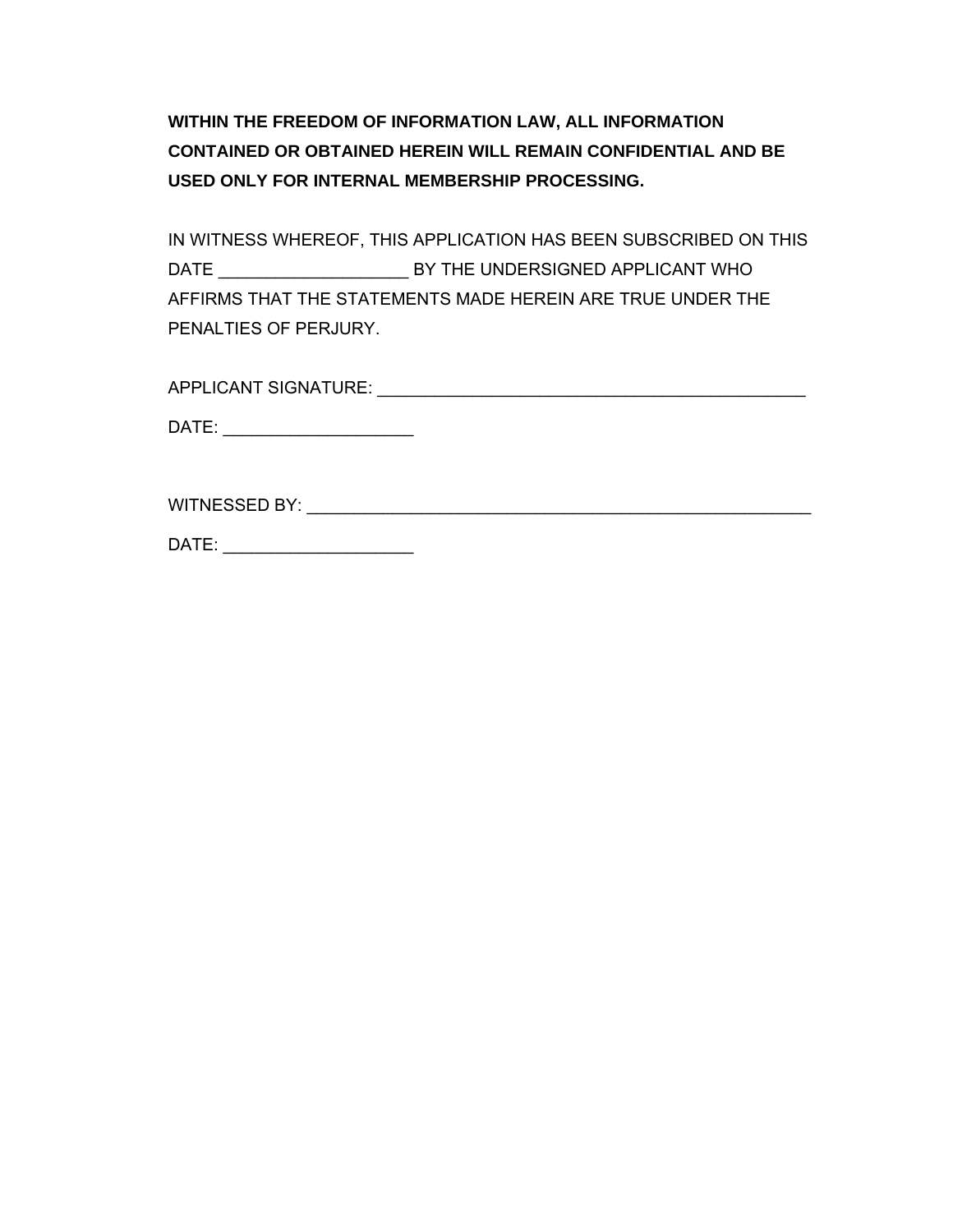**WITHIN THE FREEDOM OF INFORMATION LAW, ALL INFORMATION CONTAINED OR OBTAINED HEREIN WILL REMAIN CONFIDENTIAL AND BE USED ONLY FOR INTERNAL MEMBERSHIP PROCESSING.** 

IN WITNESS WHEREOF, THIS APPLICATION HAS BEEN SUBSCRIBED ON THIS DATE \_\_\_\_\_\_\_\_\_\_\_\_\_\_\_\_\_\_\_\_ BY THE UNDERSIGNED APPLICANT WHO AFFIRMS THAT THE STATEMENTS MADE HEREIN ARE TRUE UNDER THE PENALTIES OF PERJURY.

APPLICANT SIGNATURE: \_\_\_\_\_\_\_\_\_\_\_\_\_\_\_\_\_\_\_\_\_\_\_\_\_\_\_\_\_\_\_\_\_\_\_\_\_\_\_\_\_\_\_\_\_

DATE: \_\_\_\_\_\_\_\_\_\_\_\_\_\_\_\_\_\_\_\_\_\_\_\_\_

WITNESSED BY: The state of the state of the state of the state of the state of the state of the state of the state of the state of the state of the state of the state of the state of the state of the state of the state of

DATE: \_\_\_\_\_\_\_\_\_\_\_\_\_\_\_\_\_\_\_\_\_\_\_\_\_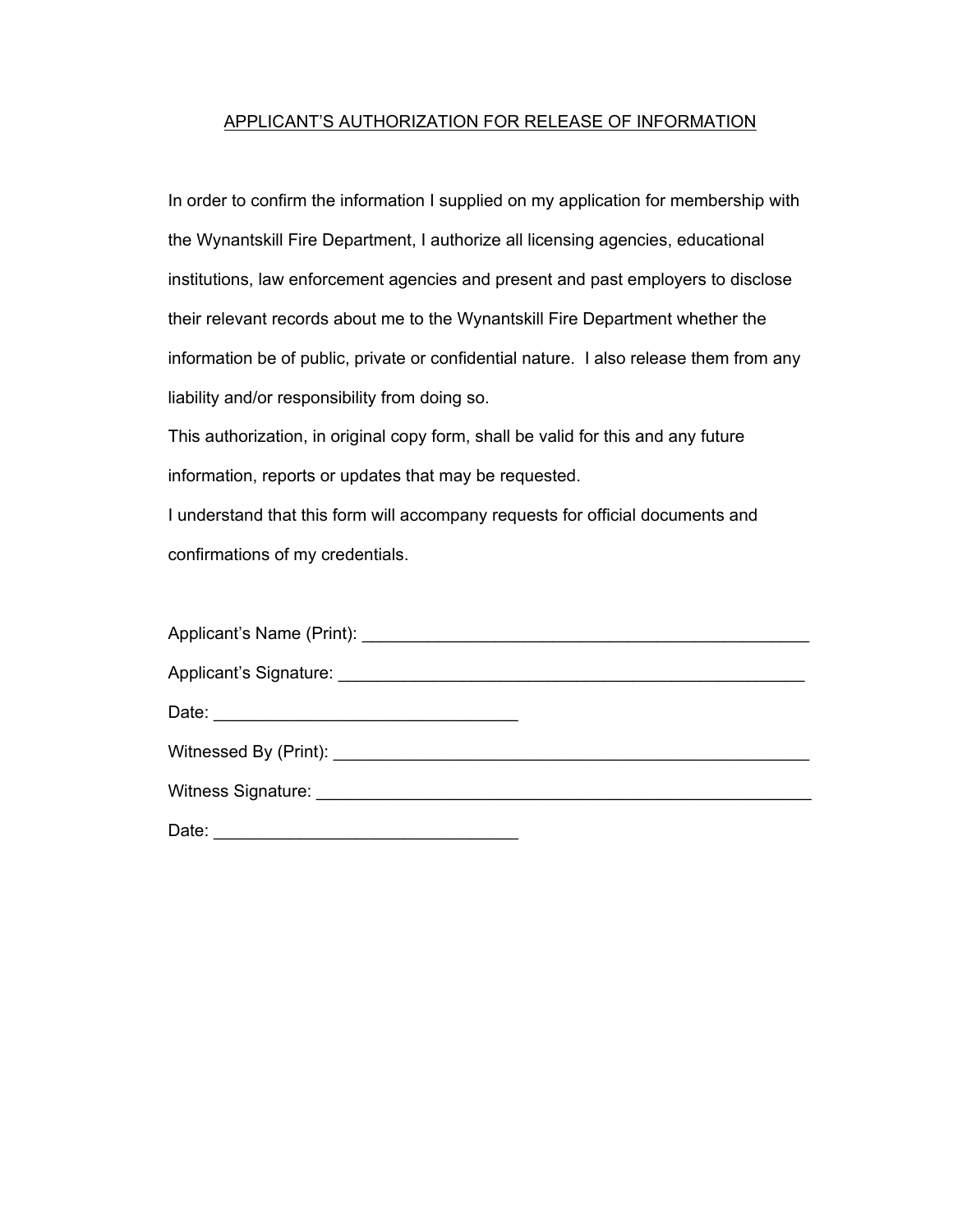#### APPLICANT'S AUTHORIZATION FOR RELEASE OF INFORMATION

In order to confirm the information I supplied on my application for membership with the Wynantskill Fire Department, I authorize all licensing agencies, educational institutions, law enforcement agencies and present and past employers to disclose their relevant records about me to the Wynantskill Fire Department whether the information be of public, private or confidential nature. I also release them from any liability and/or responsibility from doing so.

This authorization, in original copy form, shall be valid for this and any future information, reports or updates that may be requested.

I understand that this form will accompany requests for official documents and confirmations of my credentials.

| Date:<br><u> 1989 - Paris Amerikaanse kommunister († 1908)</u> |  |
|----------------------------------------------------------------|--|